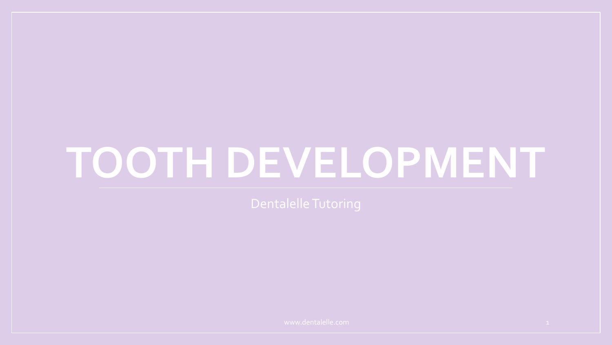# **TOOTH DEVELOPMENT**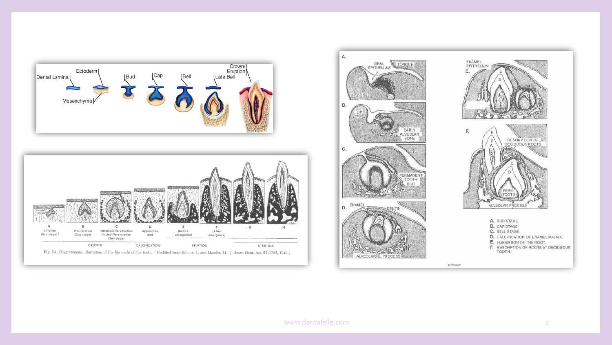

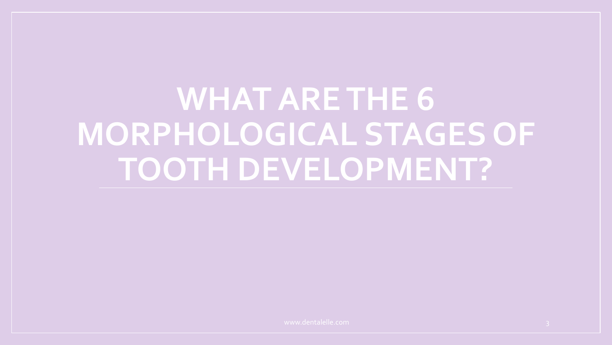**WHAT ARE THE 6 MORPHOLOGICAL STAGES OF TOOTH DEVELOPMENT?**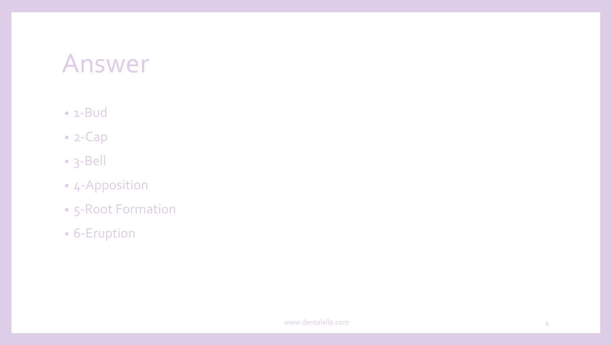#### • 1-Bud

- 2-Cap
- 3-Bell
- 4-Apposition
- 5-Root Formation
- 6-Eruption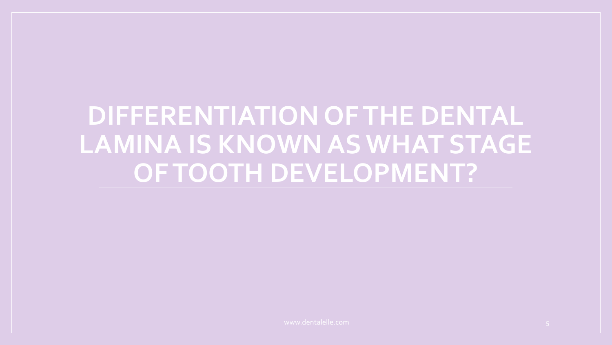**DIFFERENTIATION OF THE DENTAL LAMINA IS KNOWN AS WHAT STAGE OF TOOTH DEVELOPMENT?**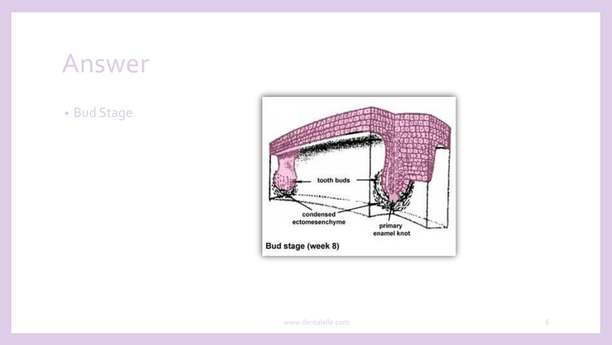• Bud Stage

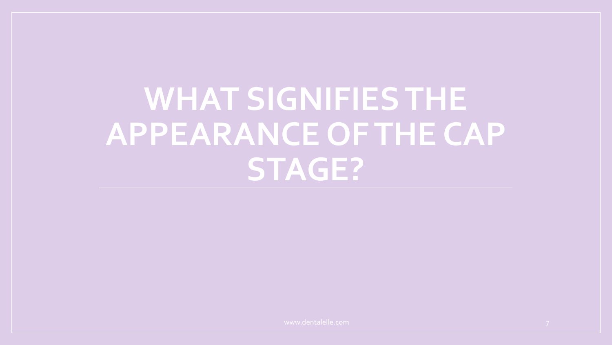### **WHAT SIGNIFIES THE APPEARANCE OF THE CAP STAGE?**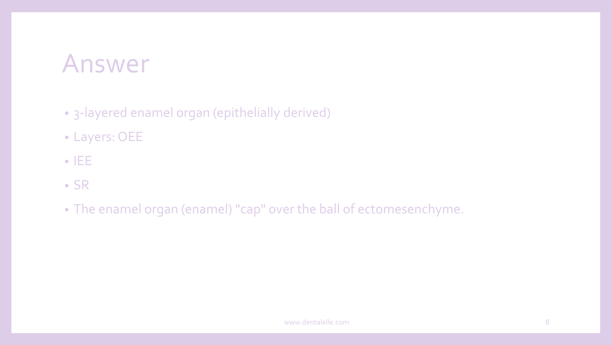- 3-layered enamel organ (epithelially derived)
- Layers: OEE
- IEE
- SR
- The enamel organ (enamel) "cap" over the ball of ectomesenchyme.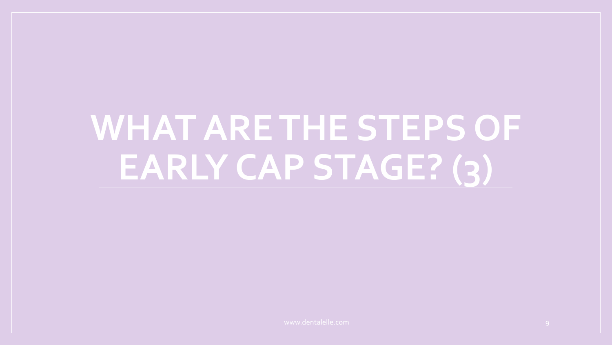## **WHAT ARE THE STEPS OF EARLY CAP STAGE? (3)**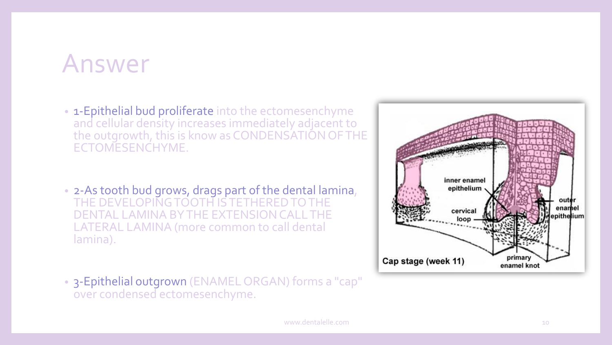- 1-Epithelial bud proliferate into the ectomesenchyme and cellular density increases immediately adjacent to the outgrowth, this is know as CONDENSATION OF THE ECTOMESENCHYME.
- 2-As tooth bud grows, drags part of the dental lamina, THE DEVELOPING TOOTH IS TETHERED TO THE DENTAL LAMINA BY THE EXTENSION CALL THE LATERAL LAMINA (more common to call dental lamina).
- 3-Epithelial outgrown (ENAMEL ORGAN) forms a "cap" over condensed ectomesenchyme.

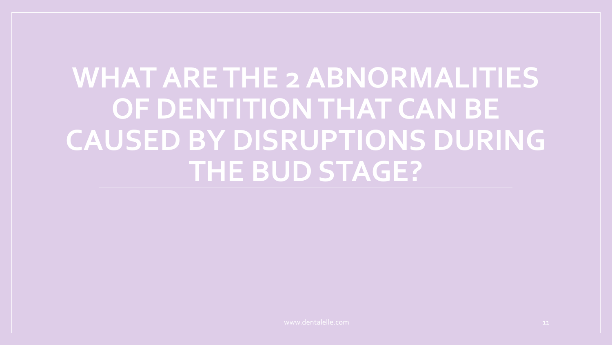### **WHAT ARE THE 2 ABNORMALITIES OF DENTITION THAT CAN BE CAUSED BY DISRUPTIONS DURING THE BUD STAGE?**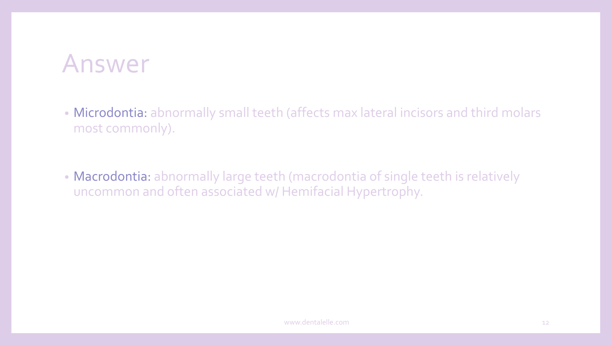- Microdontia: abnormally small teeth (affects max lateral incisors and third molars most commonly).
- Macrodontia: abnormally large teeth (macrodontia of single teeth is relatively uncommon and often associated w/ Hemifacial Hypertrophy.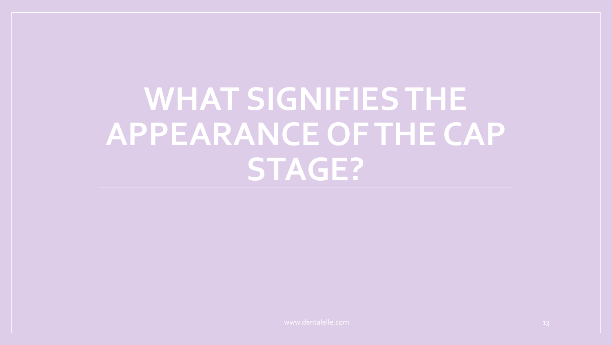### **WHAT SIGNIFIES THE APPEARANCE OF THE CAP STAGE?**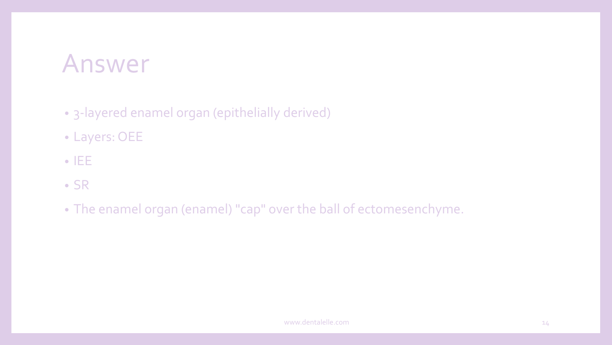- 3-layered enamel organ (epithelially derived)
- Layers: OEE
- IEE
- SR
- The enamel organ (enamel) "cap" over the ball of ectomesenchyme.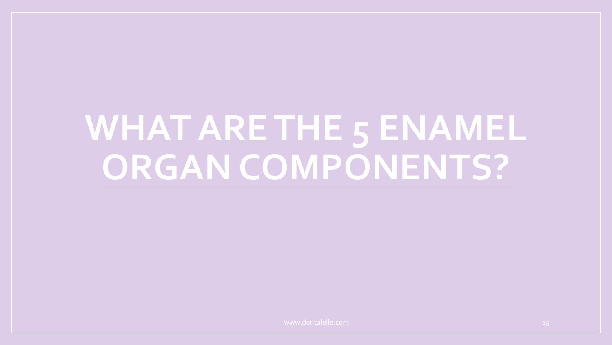### **WHAT ARE THE 5 ENAMEL ORGAN COMPONENTS?**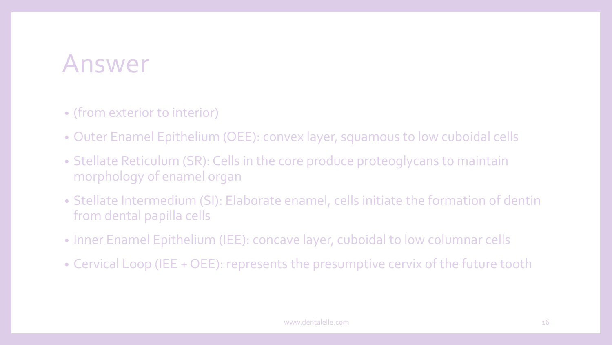- (from exterior to interior)
- Outer Enamel Epithelium (OEE): convex layer, squamous to low cuboidal cells
- Stellate Reticulum (SR): Cells in the core produce proteoglycans to maintain morphology of enamel organ
- Stellate Intermedium (SI): Elaborate enamel, cells initiate the formation of dentin from dental papilla cells
- Inner Enamel Epithelium (IEE): concave layer, cuboidal to low columnar cells
- Cervical Loop (IEE + OEE): represents the presumptive cervix of the future tooth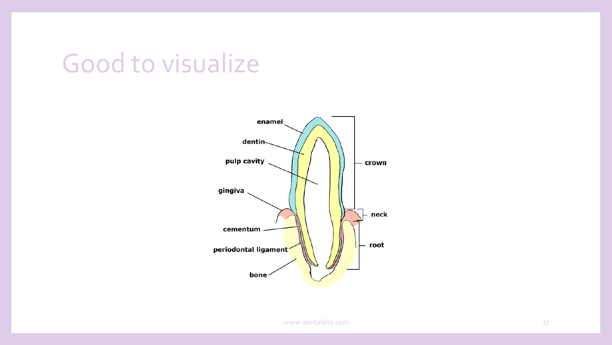### Good to visualize

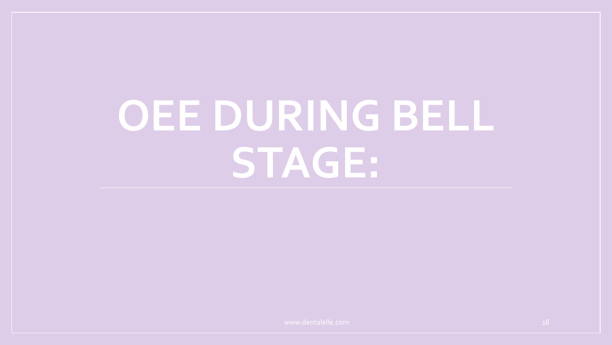# **OEE DURING BELL STAGE:**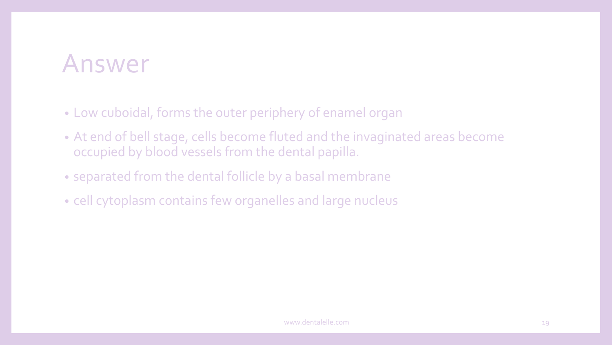- Low cuboidal, forms the outer periphery of enamel organ
- At end of bell stage, cells become fluted and the invaginated areas become occupied by blood vessels from the dental papilla.
- separated from the dental follicle by a basal membrane
- cell cytoplasm contains few organelles and large nucleus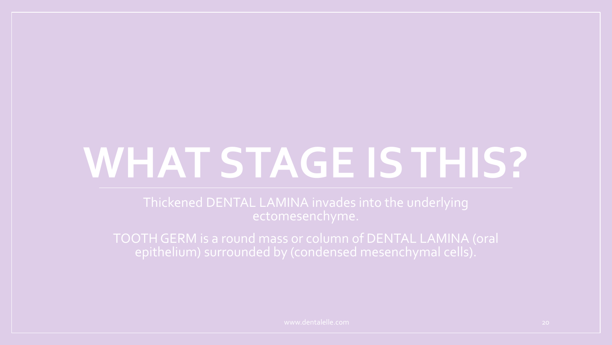# **WHAT STAGE IS THIS?**

TOOTH GERM is a round mass or column of DENTAL LAMINA (oral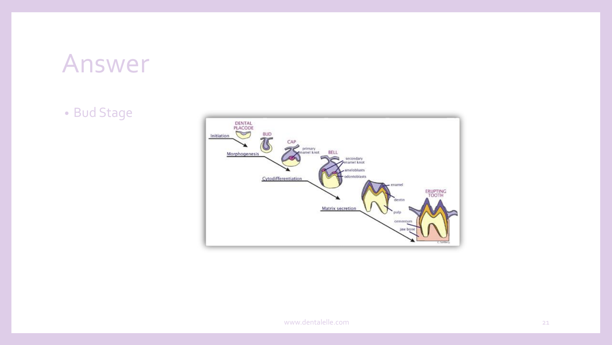• Bud Stage

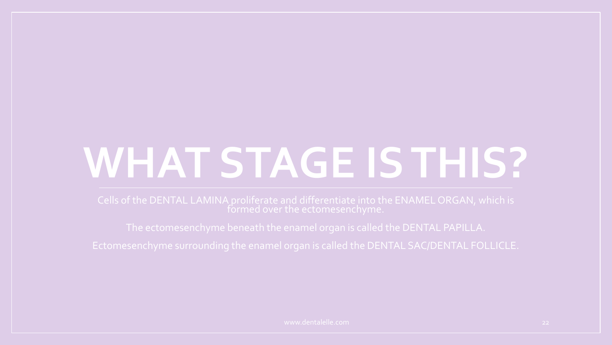# **WHAT STAGE IS THIS?**

Cells of the DENTAL LAMINA proliferate and differentiate into the ENAMEL ORGAN, which is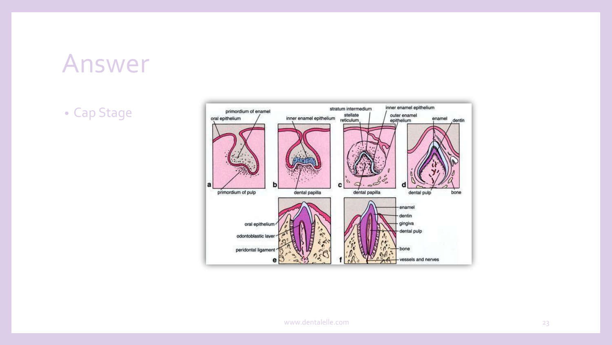• Cap Stage